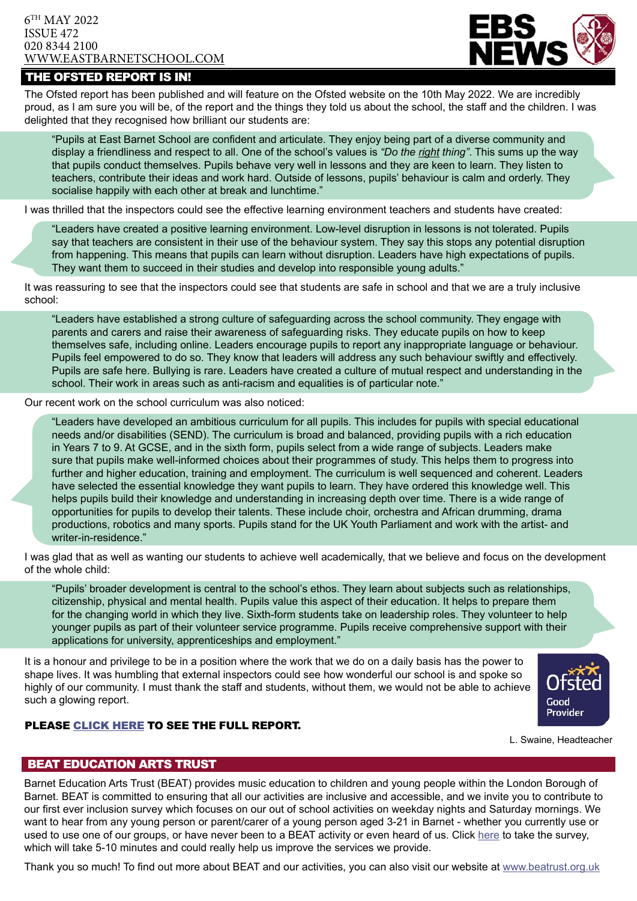## 6TH MAY 2022 ISSUE 472 020 8344 2100 [WWW.EASTBARNETSCHOOL.](http://www.eastbarnet.barnet.sch.uk)COM



# THE OFSTED REPORT IS IN!

The Ofsted report has been published and will feature on the Ofsted website on the 10th May 2022. We are incredibly proud, as I am sure you will be, of the report and the things they told us about the school, the staff and the children. I was delighted that they recognised how brilliant our students are:

"Pupils at East Barnet School are confident and articulate. They enjoy being part of a diverse community and display a friendliness and respect to all. One of the school's values is *"Do the right thing"*. This sums up the way that pupils conduct themselves. Pupils behave very well in lessons and they are keen to learn. They listen to teachers, contribute their ideas and work hard. Outside of lessons, pupils' behaviour is calm and orderly. They socialise happily with each other at break and lunchtime."

I was thrilled that the inspectors could see the effective learning environment teachers and students have created:

"Leaders have created a positive learning environment. Low-level disruption in lessons is not tolerated. Pupils say that teachers are consistent in their use of the behaviour system. They say this stops any potential disruption from happening. This means that pupils can learn without disruption. Leaders have high expectations of pupils. They want them to succeed in their studies and develop into responsible young adults."

It was reassuring to see that the inspectors could see that students are safe in school and that we are a truly inclusive school:

"Leaders have established a strong culture of safeguarding across the school community. They engage with parents and carers and raise their awareness of safeguarding risks. They educate pupils on how to keep themselves safe, including online. Leaders encourage pupils to report any inappropriate language or behaviour. Pupils feel empowered to do so. They know that leaders will address any such behaviour swiftly and effectively. Pupils are safe here. Bullying is rare. Leaders have created a culture of mutual respect and understanding in the school. Their work in areas such as anti-racism and equalities is of particular note."

Our recent work on the school curriculum was also noticed:

"Leaders have developed an ambitious curriculum for all pupils. This includes for pupils with special educational needs and/or disabilities (SEND). The curriculum is broad and balanced, providing pupils with a rich education in Years 7 to 9. At GCSE, and in the sixth form, pupils select from a wide range of subjects. Leaders make sure that pupils make well-informed choices about their programmes of study. This helps them to progress into further and higher education, training and employment. The curriculum is well sequenced and coherent. Leaders have selected the essential knowledge they want pupils to learn. They have ordered this knowledge well. This helps pupils build their knowledge and understanding in increasing depth over time. There is a wide range of opportunities for pupils to develop their talents. These include choir, orchestra and African drumming, drama productions, robotics and many sports. Pupils stand for the UK Youth Parliament and work with the artist- and writer-in-residence."

I was glad that as well as wanting our students to achieve well academically, that we believe and focus on the development of the whole child:

"Pupils' broader development is central to the school's ethos. They learn about subjects such as relationships, citizenship, physical and mental health. Pupils value this aspect of their education. It helps to prepare them for the changing world in which they live. Sixth-form students take on leadership roles. They volunteer to help younger pupils as part of their volunteer service programme. Pupils receive comprehensive support with their applications for university, apprenticeships and employment."

It is a honour and privilege to be in a position where the work that we do on a daily basis has the power to shape lives. It was humbling that external inspectors could see how wonderful our school is and spoke so highly of our community. I must thank the staff and students, without them, we would not be able to achieve such a glowing report.



## Please [click here](https://www.eastbarnetschool.com/wp-content/uploads/2022/05/East-Barnet-School-Ofsted-report-April-2022-136658-Final-PDF.pdf) to see the full report.

L. Swaine, Headteacher

## BEAT EDUCATION ARTS TRUST

Barnet Education Arts Trust (BEAT) provides music education to children and young people within the London Borough of Barnet. BEAT is committed to ensuring that all our activities are inclusive and accessible, and we invite you to contribute to our first ever inclusion survey which focuses on our out of school activities on weekday nights and Saturday mornings. We want to hear from any young person or parent/carer of a young person aged 3-21 in Barnet - whether you currently use or used to use one of our groups, or have never been to a BEAT activity or even heard of us. Click [here](https://www.surveymonkey.co.uk/r/Y6QVRPL) to take the survey, which will take 5-10 minutes and could really help us improve the services we provide.

Thank you so much! To find out more about BEAT and our activities, you can also visit our website at<www.beatrust.org.uk>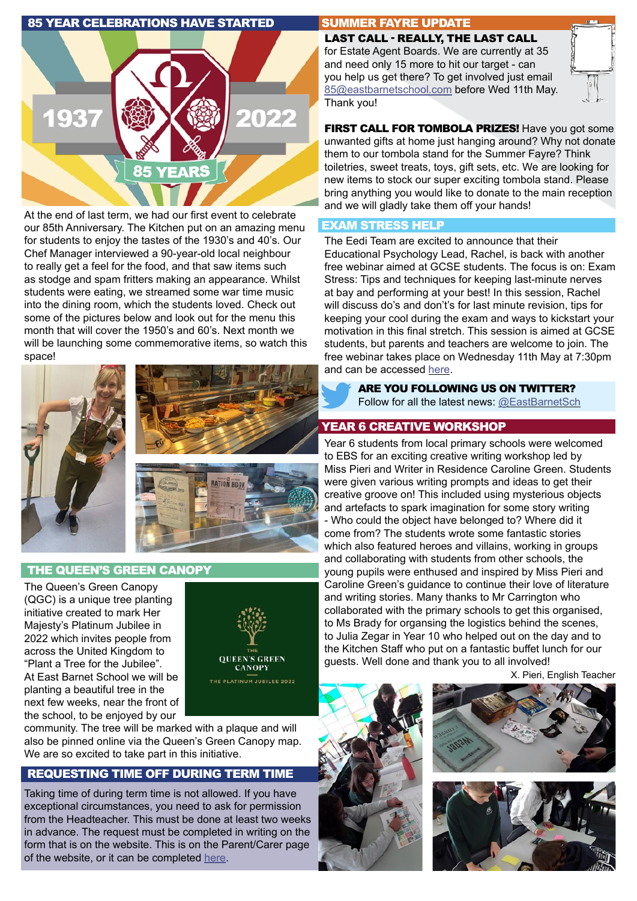## 85 YEAR CELEBRATIONS HAVE STARTED



At the end of last term, we had our first event to celebrate our 85th Anniversary. The Kitchen put on an amazing menu for students to enjoy the tastes of the 1930's and 40's. Our Chef Manager interviewed a 90-year-old local neighbour to really get a feel for the food, and that saw items such as stodge and spam fritters making an appearance. Whilst students were eating, we streamed some war time music into the dining room, which the students loved. Check out some of the pictures below and look out for the menu this month that will cover the 1950's and 60's. Next month we will be launching some commemorative items, so watch this space!





### THE QUEEN'S GREEN CANOPY

The Queen's Green Canopy (QGC) is a unique tree planting initiative created to mark Her Majesty's Platinum Jubilee in 2022 which invites people from across the United Kingdom to "Plant a Tree for the Jubilee". At East Barnet School we will be planting a beautiful tree in the next few weeks, near the front of the school, to be enjoyed by our



community. The tree will be marked with a plaque and will also be pinned online via the Queen's Green Canopy map. We are so excited to take part in this initiative.

## REQUESTING TIME OFF DURING TERM TIME

Taking time of during term time is not allowed. If you have exceptional circumstances, you need to ask for permission from the Headteacher. This must be done at least two weeks in advance. The request must be completed in writing on the form that is on the website. This is on the Parent/Carer page of the website, or it can be completed [here](https://www.eastbarnetschool.com/wp-content/uploads/2021/03/EBS-Term-Time-Absence-Request.pdf).

## SUMMER FAYRE UPDATE

LAST CALL - REALLY, THE LAST CALL for Estate Agent Boards. We are currently at 35 and need only 15 more to hit our target - can you help us get there? To get involved just email [85@eastbarnetschool.com](mailto:85%40eastbarnetschool.com?subject=Estate%20Agent%20Board) before Wed 11th May. Thank you!

FIRST CALL FOR TOMBOLA PRIZES! Have you got some unwanted gifts at home just hanging around? Why not donate them to our tombola stand for the Summer Fayre? Think toiletries, sweet treats, toys, gift sets, etc. We are looking for new items to stock our super exciting tombola stand. Please bring anything you would like to donate to the main reception and we will gladly take them off your hands!

### EXAM STRESS HELP

The Eedi Team are excited to announce that their Educational Psychology Lead, Rachel, is back with another free webinar aimed at GCSE students. The focus is on: Exam Stress: Tips and techniques for keeping last-minute nerves at bay and performing at your best! In this session, Rachel will discuss do's and don't's for last minute revision, tips for keeping your cool during the exam and ways to kickstart your motivation in this final stretch. This session is aimed at GCSE students, but parents and teachers are welcome to join. The free webinar takes place on Wednesday 11th May at 7:30pm and can be accessed [here.](https://us02web.zoom.us/webinar/register/WN_FAWlM49wToSOilPz59tdOw)

ARE YOU FOLLOWING US ON TWITTER? Follow for all the latest news: [@EastBarnetSch](https://twitter.com/EastBarnetSch)

## YEAR 6 CREATIVE WORKSHOP

Year 6 students from local primary schools were welcomed to EBS for an exciting creative writing workshop led by Miss Pieri and Writer in Residence Caroline Green. Students were given various writing prompts and ideas to get their creative groove on! This included using mysterious objects and artefacts to spark imagination for some story writing - Who could the object have belonged to? Where did it come from? The students wrote some fantastic stories which also featured heroes and villains, working in groups and collaborating with students from other schools, the young pupils were enthused and inspired by Miss Pieri and Caroline Green's guidance to continue their love of literature and writing stories. Many thanks to Mr Carrington who collaborated with the primary schools to get this organised, to Ms Brady for organsing the logistics behind the scenes, to Julia Zegar in Year 10 who helped out on the day and to the Kitchen Staff who put on a fantastic buffet lunch for our guests. Well done and thank you to all involved!

X. Pieri, English Teacher





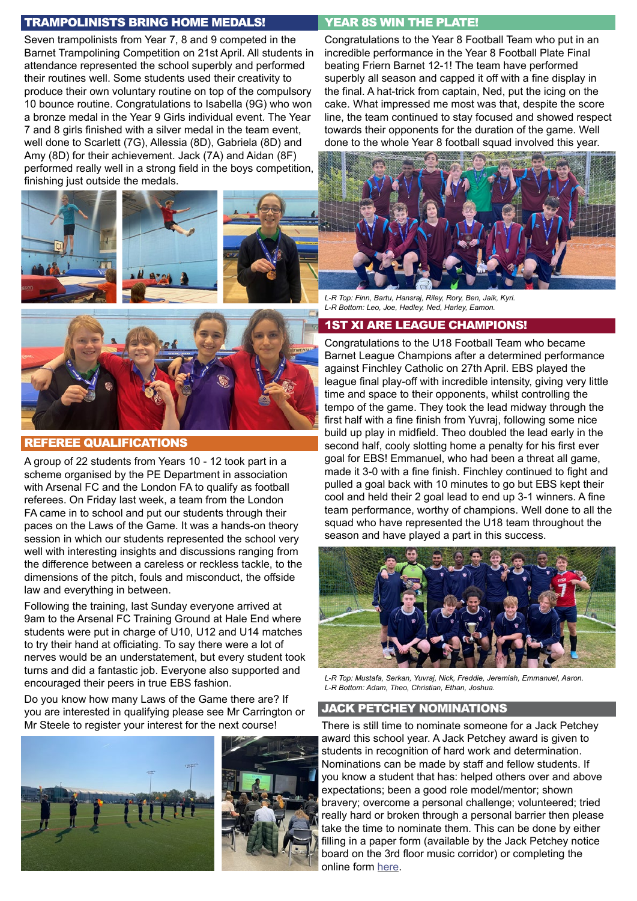## TRAMPOLINISTS BRING HOME MEDALS!

Seven trampolinists from Year 7, 8 and 9 competed in the Barnet Trampolining Competition on 21st April. All students in attendance represented the school superbly and performed their routines well. Some students used their creativity to produce their own voluntary routine on top of the compulsory 10 bounce routine. Congratulations to Isabella (9G) who won a bronze medal in the Year 9 Girls individual event. The Year 7 and 8 girls finished with a silver medal in the team event, well done to Scarlett (7G), Allessia (8D), Gabriela (8D) and Amy (8D) for their achievement. Jack (7A) and Aidan (8F) performed really well in a strong field in the boys competition, finishing just outside the medals.





#### REFEREE QUALIFICATIONS

A group of 22 students from Years 10 - 12 took part in a scheme organised by the PE Department in association with Arsenal FC and the London FA to qualify as football referees. On Friday last week, a team from the London FA came in to school and put our students through their paces on the Laws of the Game. It was a hands-on theory session in which our students represented the school very well with interesting insights and discussions ranging from the difference between a careless or reckless tackle, to the dimensions of the pitch, fouls and misconduct, the offside law and everything in between.

Following the training, last Sunday everyone arrived at 9am to the Arsenal FC Training Ground at Hale End where students were put in charge of U10, U12 and U14 matches to try their hand at officiating. To say there were a lot of nerves would be an understatement, but every student took turns and did a fantastic job. Everyone also supported and encouraged their peers in true EBS fashion.

Do you know how many Laws of the Game there are? If you are interested in qualifying please see Mr Carrington or Mr Steele to register your interest for the next course! There is still time to nominate someone for a Jack Petchey





## YEAR 8S WIN THE PLATE!

Congratulations to the Year 8 Football Team who put in an incredible performance in the Year 8 Football Plate Final beating Friern Barnet 12-1! The team have performed superbly all season and capped it off with a fine display in the final. A hat-trick from captain, Ned, put the icing on the cake. What impressed me most was that, despite the score line, the team continued to stay focused and showed respect towards their opponents for the duration of the game. Well done to the whole Year 8 football squad involved this year.



*L-R Top: Finn, Bartu, Hansraj, Riley, Rory, Ben, Jaik, Kyri. L-R Bottom: Leo, Joe, Hadley, Ned, Harley, Eamon.*

### 1ST XI ARE LEAGUE CHAMPIONS!

Congratulations to the U18 Football Team who became Barnet League Champions after a determined performance against Finchley Catholic on 27th April. EBS played the league final play-off with incredible intensity, giving very little time and space to their opponents, whilst controlling the tempo of the game. They took the lead midway through the first half with a fine finish from Yuvraj, following some nice build up play in midfield. Theo doubled the lead early in the second half, cooly slotting home a penalty for his first ever goal for EBS! Emmanuel, who had been a threat all game, made it 3-0 with a fine finish. Finchley continued to fight and pulled a goal back with 10 minutes to go but EBS kept their cool and held their 2 goal lead to end up 3-1 winners. A fine team performance, worthy of champions. Well done to all the squad who have represented the U18 team throughout the season and have played a part in this success.



*L-R Top: Mustafa, Serkan, Yuvraj, Nick, Freddie, Jeremiah, Emmanuel, Aaron. L-R Bottom: Adam, Theo, Christian, Ethan, Joshua.*

## JACK PETCHEY NOMINATIONS

award this school year. A Jack Petchey award is given to students in recognition of hard work and determination. Nominations can be made by staff and fellow students. If you know a student that has: helped others over and above expectations; been a good role model/mentor; shown bravery; overcome a personal challenge; volunteered; tried really hard or broken through a personal barrier then please take the time to nominate them. This can be done by either filling in a paper form (available by the Jack Petchey notice board on the 3rd floor music corridor) or completing the online form [here.](https://bit.ly/3scfmWb)